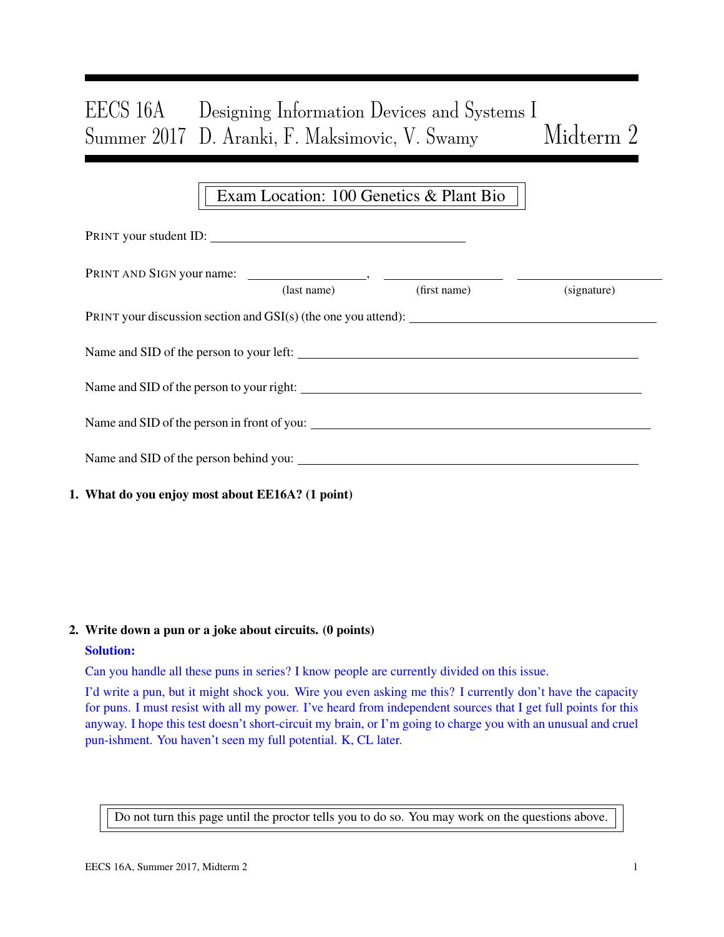# EECS 16A Designing Information Devices and Systems I Summer 2017 D. Aranki, F. Maksimovic, V. Swamy Midterm 2

## Exam Location: 100 Genetics & Plant Bio

| PRINT your student ID:                           |                   |              |             |  |  |  |  |
|--------------------------------------------------|-------------------|--------------|-------------|--|--|--|--|
|                                                  | $u$ s (last name) | (first name) | (signature) |  |  |  |  |
|                                                  |                   |              |             |  |  |  |  |
| Name and SID of the person to your left:         |                   |              |             |  |  |  |  |
|                                                  |                   |              |             |  |  |  |  |
| Name and SID of the person in front of you:      |                   |              |             |  |  |  |  |
|                                                  |                   |              |             |  |  |  |  |
| 1. What do you enjoy most about EE16A? (1 point) |                   |              |             |  |  |  |  |

## 2. Write down a pun or a joke about circuits. (0 points)

## Solution:

Can you handle all these puns in series? I know people are currently divided on this issue.

I'd write a pun, but it might shock you. Wire you even asking me this? I currently don't have the capacity for puns. I must resist with all my power. I've heard from independent sources that I get full points for this anyway. I hope this test doesn't short-circuit my brain, or I'm going to charge you with an unusual and cruel pun-ishment. You haven't seen my full potential. K, CL later.

Do not turn this page until the proctor tells you to do so. You may work on the questions above.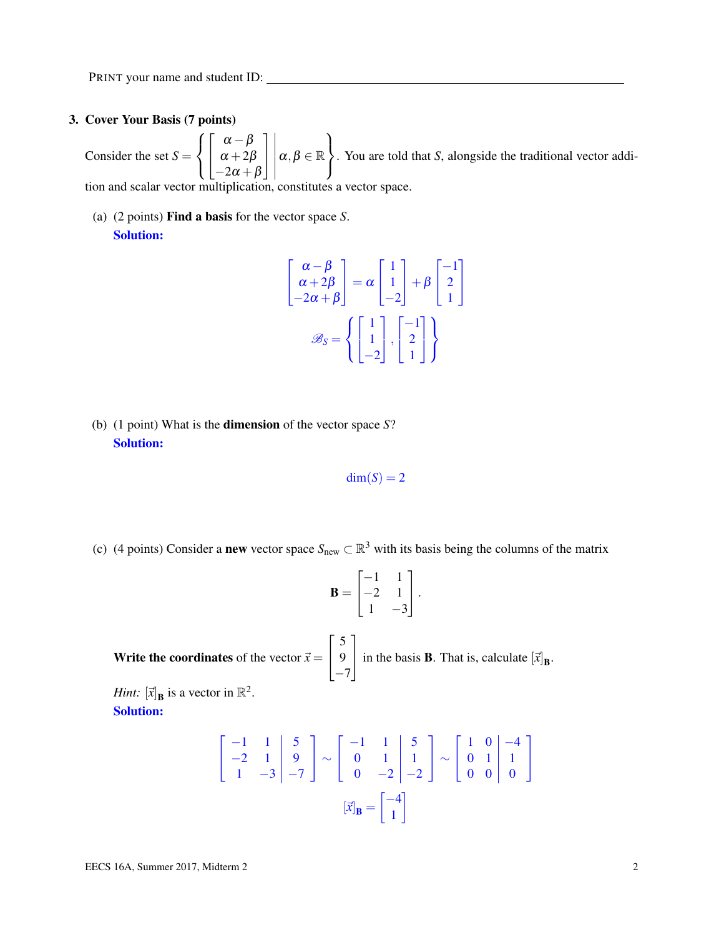#### 3. Cover Your Basis (7 points)

Consider the set  $S =$  $\sqrt{ }$  $\left| \right|$  $\mathcal{L}$  $\sqrt{ }$  $\overline{1}$  $\alpha-\beta$  $\alpha+2\beta$  $-2\alpha + \beta$ 1  $\overline{1}$   $\alpha, \beta \in \mathbb{R}$  $\mathcal{L}$  $\mathcal{L}$ J . You are told that *S*, alongside the traditional vector addition and scalar vector multiplication, constitutes a vector space.

(a) (2 points) Find a basis for the vector space *S*. Solution:

$$
\begin{bmatrix} \alpha - \beta \\ \alpha + 2\beta \\ -2\alpha + \beta \end{bmatrix} = \alpha \begin{bmatrix} 1 \\ 1 \\ -2 \end{bmatrix} + \beta \begin{bmatrix} -1 \\ 2 \\ 1 \end{bmatrix}
$$

$$
\mathcal{B}_S = \left\{ \begin{bmatrix} 1 \\ 1 \\ -2 \end{bmatrix}, \begin{bmatrix} -1 \\ 2 \\ 1 \end{bmatrix} \right\}
$$

(b) (1 point) What is the dimension of the vector space *S*? Solution:

$$
\dim(S) = 2
$$

(c) (4 points) Consider a **new** vector space  $S_{\text{new}} \subset \mathbb{R}^3$  with its basis being the columns of the matrix

$$
\mathbf{B} = \begin{bmatrix} -1 & 1 \\ -2 & 1 \\ 1 & -3 \end{bmatrix}.
$$

**Write the coordinates** of the vector  $\vec{x} =$  $\sqrt{ }$  $\overline{1}$ 5 9  $-7$ 1 in the basis **B**. That is, calculate  $[\vec{x}]_B$ .

*Hint:*  $[\vec{x}]_\text{B}$  is a vector in  $\mathbb{R}^2$ . Solution:

$$
\begin{bmatrix} -1 & 1 & 5 \ -2 & 1 & 9 \ 1 & -3 & -7 \end{bmatrix} \sim \begin{bmatrix} -1 & 1 & 5 \ 0 & 1 & 1 \ 0 & -2 & -2 \end{bmatrix} \sim \begin{bmatrix} 1 & 0 & -4 \ 0 & 1 & 1 \ 0 & 0 & 0 \end{bmatrix}
$$

$$
[\vec{x}]_{\mathbf{B}} = \begin{bmatrix} -4 \ 1 \end{bmatrix}
$$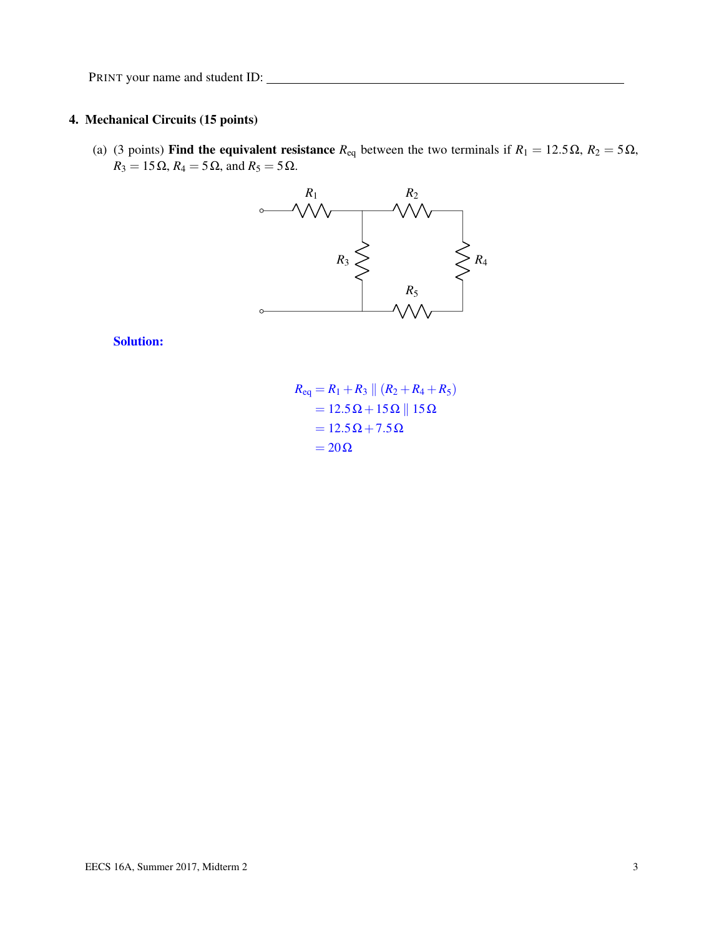## 4. Mechanical Circuits (15 points)

(a) (3 points) Find the equivalent resistance  $R_{eq}$  between the two terminals if  $R_1 = 12.5 \Omega$ ,  $R_2 = 5 \Omega$ ,  $R_3 = 15 \Omega$ ,  $R_4 = 5 \Omega$ , and  $R_5 = 5 \Omega$ .



Solution:

$$
R_{eq} = R_1 + R_3 || (R_2 + R_4 + R_5)
$$
  
= 12.5 Ω + 15 Ω || 15 Ω  
= 12.5 Ω + 7.5 Ω  
= 20 Ω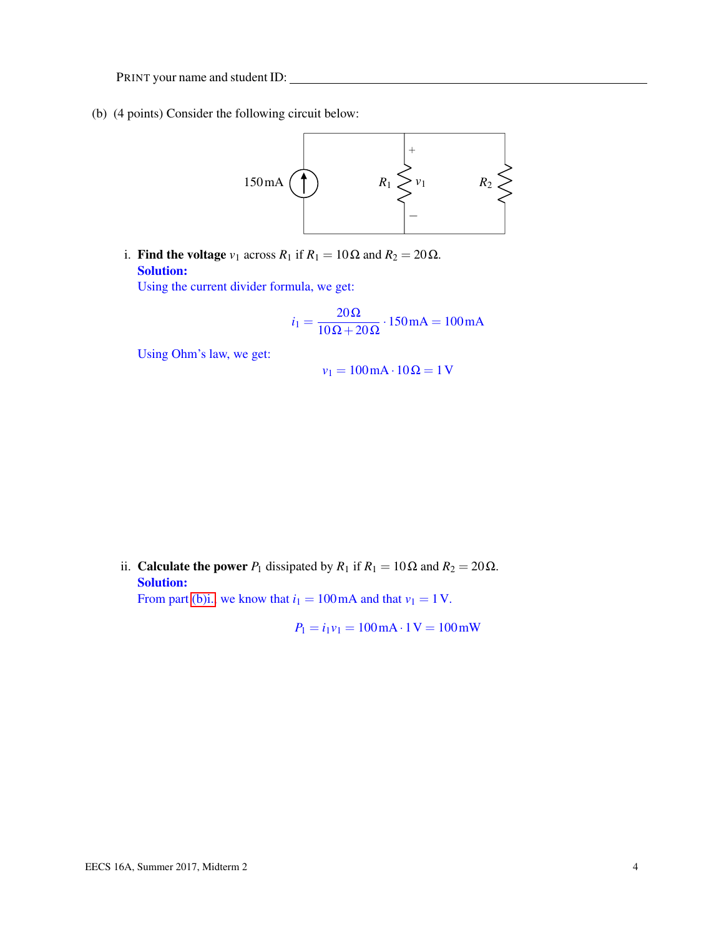(b) (4 points) Consider the following circuit below:



<span id="page-3-0"></span>i. Find the voltage  $v_1$  across  $R_1$  if  $R_1 = 10 \Omega$  and  $R_2 = 20 \Omega$ . Solution: Using the current divider formula, we get:

$$
i_1 = \frac{20\Omega}{10\Omega + 20\Omega} \cdot 150\,\text{mA} = 100\,\text{mA}
$$

Using Ohm's law, we get:

$$
v_1 = 100 \,\text{mA} \cdot 10 \,\Omega = 1 \,\text{V}
$$

ii. **Calculate the power**  $P_1$  dissipated by  $R_1$  if  $R_1 = 10 \Omega$  and  $R_2 = 20 \Omega$ . Solution: From part [\(b\)i.,](#page-3-0) we know that  $i_1 = 100 \text{ mA}$  and that  $v_1 = 1 \text{ V}$ .

 $P_1 = i_1v_1 = 100 \text{ mA} \cdot 1 \text{ V} = 100 \text{ mW}$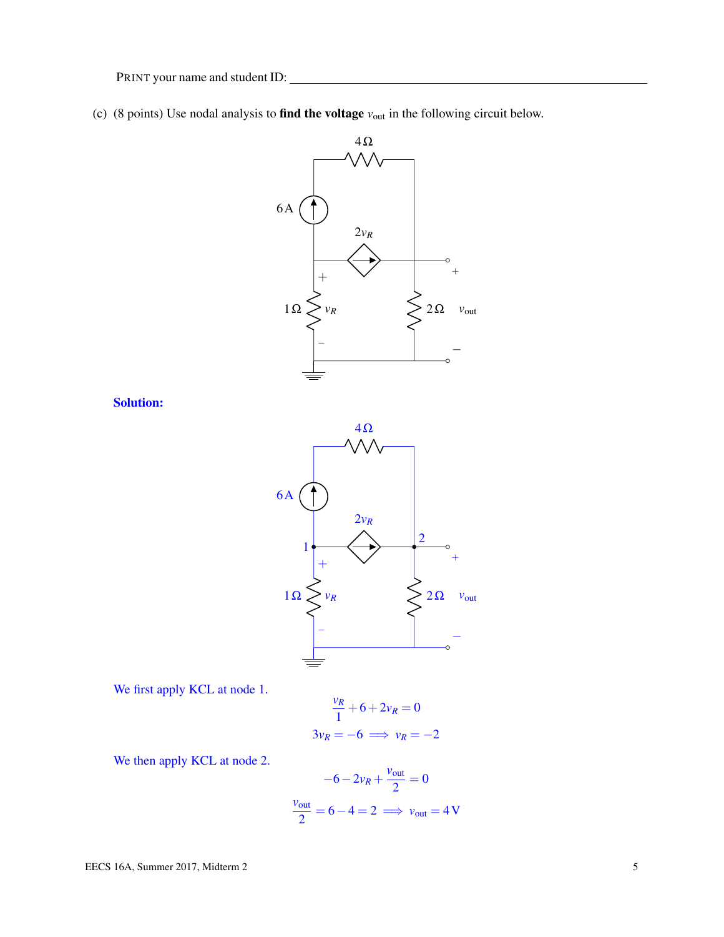(c) (8 points) Use nodal analysis to find the voltage *v*out in the following circuit below.



Solution:



We first apply KCL at node 1.

$$
\frac{v_R}{1} + 6 + 2v_R = 0
$$
  
3v\_R = -6  $\implies v_R = -2$ 

We then apply KCL at node 2.

$$
-6 - 2v_R + \frac{v_{\text{out}}}{2} = 0
$$

$$
\frac{v_{\text{out}}}{2} = 6 - 4 = 2 \implies v_{\text{out}} = 4 \text{ V}
$$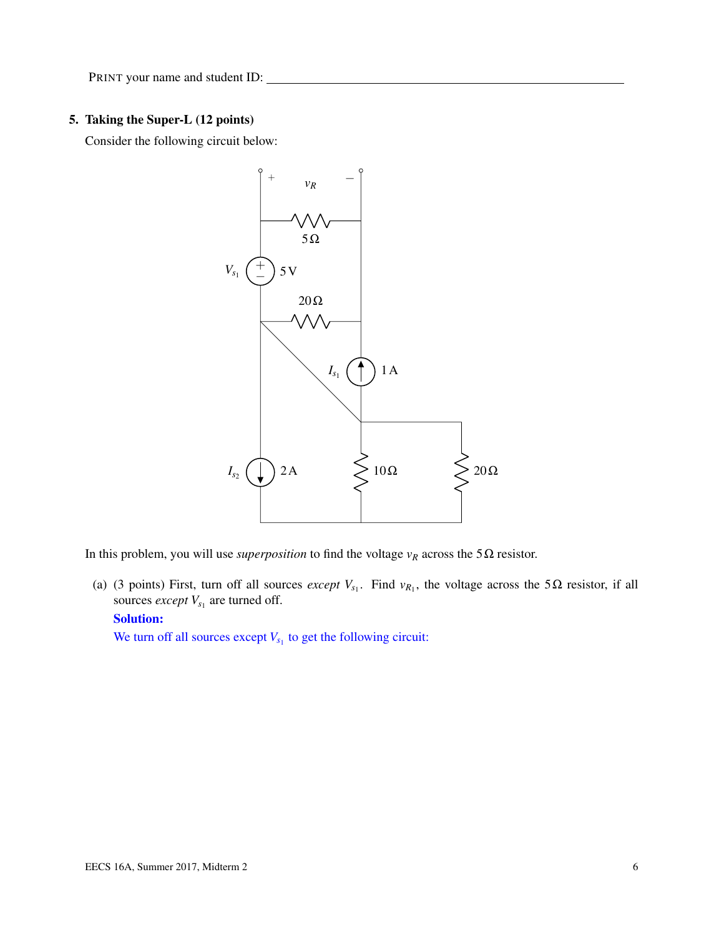## 5. Taking the Super-L (12 points)

Consider the following circuit below:



In this problem, you will use *superposition* to find the voltage  $v_R$  across the 5 $\Omega$  resistor.

(a) (3 points) First, turn off all sources *except*  $V_{s_1}$ . Find  $v_{R_1}$ , the voltage across the 5 $\Omega$  resistor, if all sources *except*  $V_{s_1}$  are turned off.

## Solution:

We turn off all sources except  $V_{s_1}$  to get the following circuit: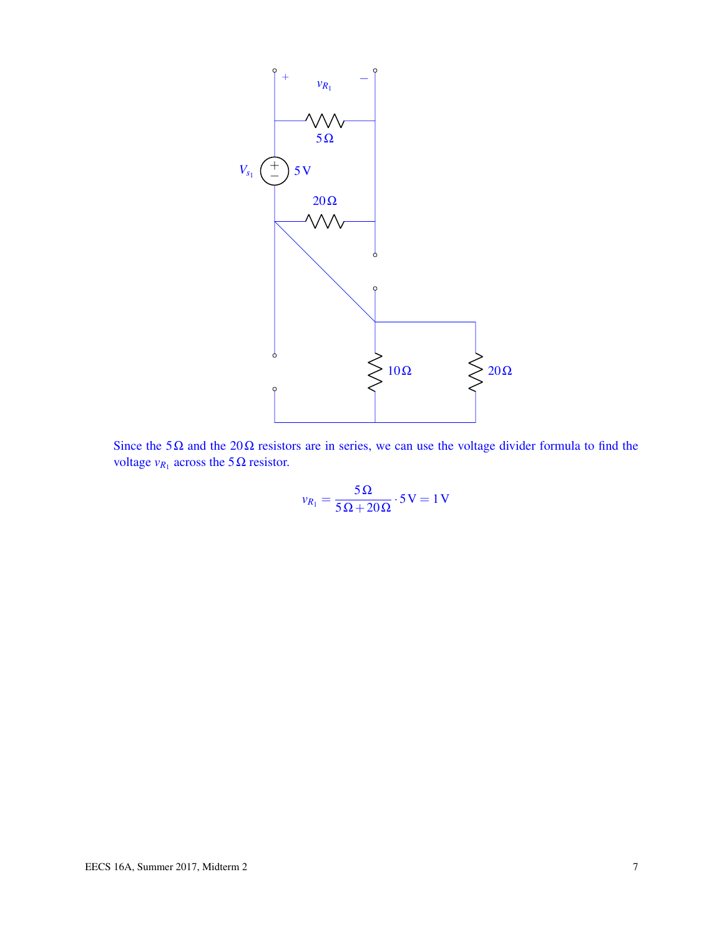

Since the  $5\Omega$  and the  $20\Omega$  resistors are in series, we can use the voltage divider formula to find the voltage  $v_{R_1}$  across the 5  $\Omega$  resistor.

$$
v_{R_1} = \frac{5\,\Omega}{5\,\Omega + 20\,\Omega} \cdot 5\,\text{V} = 1\,\text{V}
$$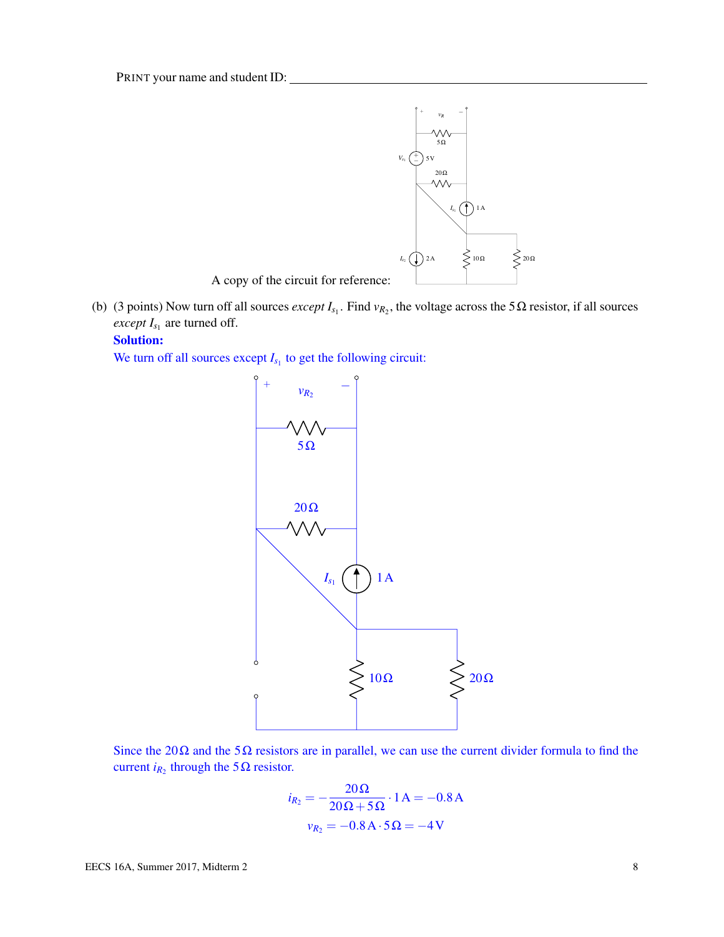

(b) (3 points) Now turn off all sources *except*  $I_{s_1}$ . Find  $v_{R_2}$ , the voltage across the 5 $\Omega$  resistor, if all sources *except*  $I_{s_1}$  are turned off.

## Solution:

We turn off all sources except  $I_{s_1}$  to get the following circuit:



Since the 20 $\Omega$  and the 5 $\Omega$  resistors are in parallel, we can use the current divider formula to find the current  $i_{R_2}$  through the 5  $\Omega$  resistor.

$$
i_{R_2} = -\frac{20 \,\Omega}{20 \,\Omega + 5 \,\Omega} \cdot 1 \,\text{A} = -0.8 \,\text{A}
$$
\n
$$
v_{R_2} = -0.8 \,\text{A} \cdot 5 \,\Omega = -4 \,\text{V}
$$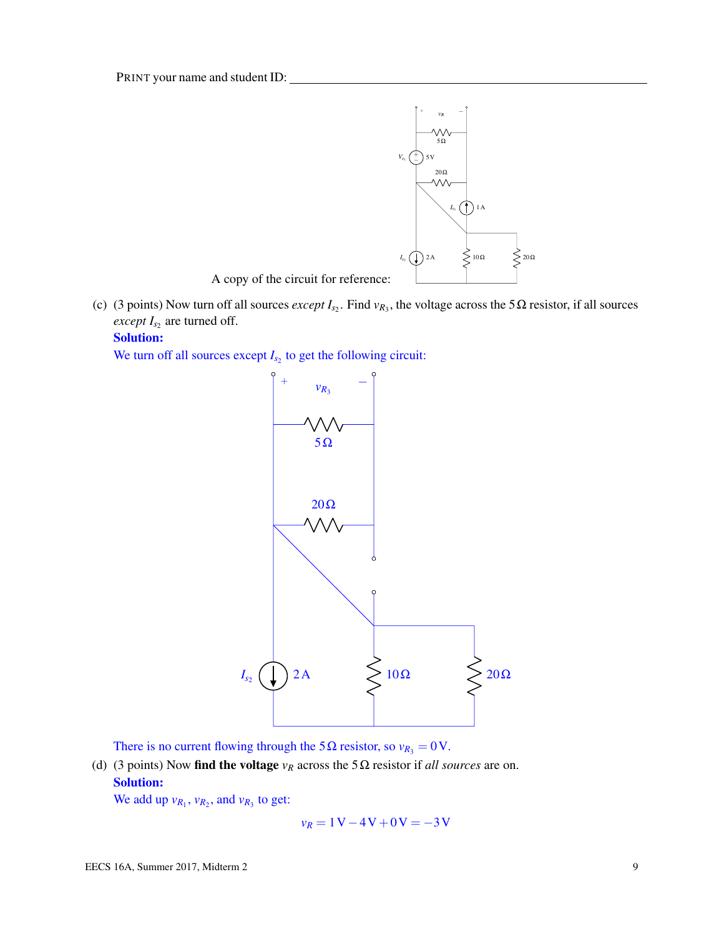

(c) (3 points) Now turn off all sources *except*  $I_{s_2}$ . Find  $v_{R_3}$ , the voltage across the 5 $\Omega$  resistor, if all sources *except*  $I_{s_2}$  are turned off.

#### Solution:

We turn off all sources except  $I_{s_2}$  to get the following circuit:



There is no current flowing through the 5  $\Omega$  resistor, so  $v_{R_3} = 0$  V.

(d) (3 points) Now find the voltage  $v_R$  across the 5 $\Omega$  resistor if *all sources* are on. Solution:

We add up  $v_{R_1}$ ,  $v_{R_2}$ , and  $v_{R_3}$  to get:

$$
v_R = 1\,\text{V} - 4\,\text{V} + 0\,\text{V} = -3\,\text{V}
$$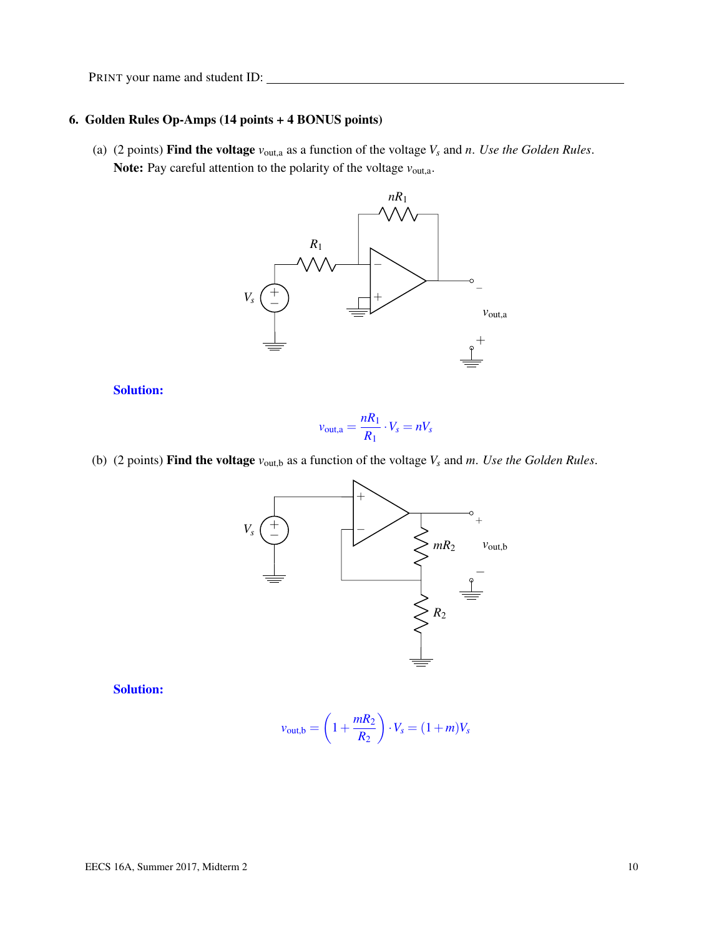## 6. Golden Rules Op-Amps (14 points + 4 BONUS points)

(a) (2 points) **Find the voltage**  $v_{\text{out,a}}$  as a function of the voltage  $V_s$  and  $n$ . Use the Golden Rules. Note: Pay careful attention to the polarity of the voltage  $v_{\text{out,a}}$ .



Solution:

$$
v_{\text{out,a}} = \frac{nR_1}{R_1} \cdot V_s = nV_s
$$

(b) (2 points) Find the voltage  $v_{\text{out},b}$  as a function of the voltage  $V_s$  and  $m$ . *Use the Golden Rules*.



Solution:

$$
v_{\text{out,b}} = \left(1 + \frac{mR_2}{R_2}\right) \cdot V_s = (1+m)V_s
$$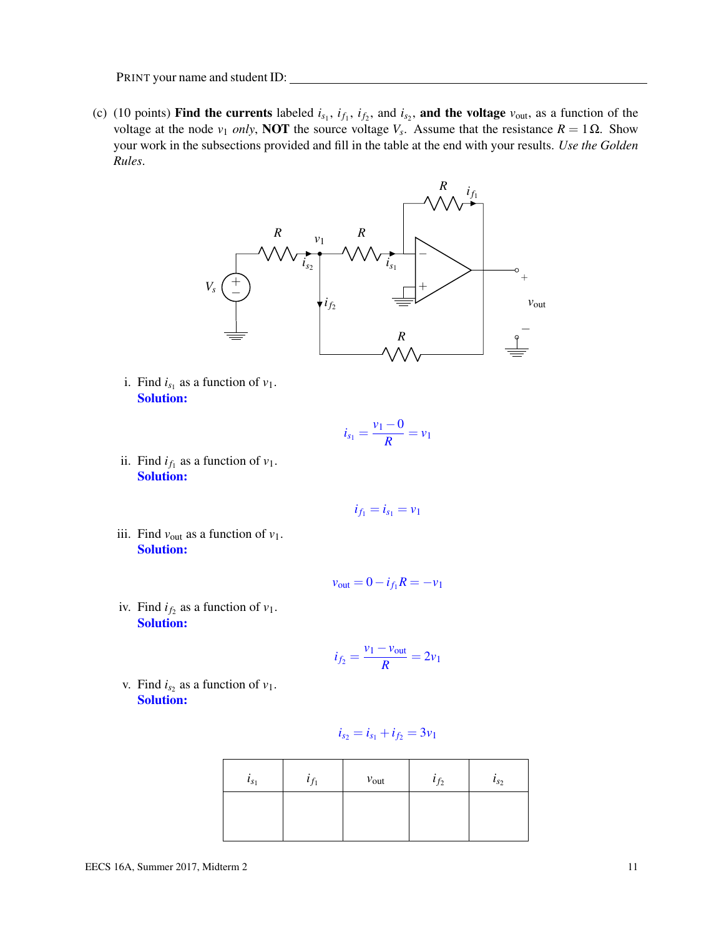<span id="page-10-0"></span>(c) (10 points) Find the currents labeled  $i_{s_1}$ ,  $i_{f_1}$ ,  $i_{f_2}$ , and  $i_{s_2}$ , and the voltage  $v_{\text{out}}$ , as a function of the voltage at the node *v*<sub>1</sub> *only*, **NOT** the source voltage *V<sub>s</sub>*. Assume that the resistance  $R = 1 Ω$ . Show your work in the subsections provided and fill in the table at the end with your results. *Use the Golden Rules*.



i. Find  $i_{s_1}$  as a function of  $v_1$ . Solution:

$$
i_{s_1}=\frac{v_1-0}{R}=v_1
$$

ii. Find  $i_{f_1}$  as a function of  $v_1$ . Solution:

 $i_{f_1} = i_{s_1} = v_1$ 

iii. Find  $v_{\text{out}}$  as a function of  $v_1$ . Solution:

$$
v_{\rm out}=0-i_{f_1}R=-v_1
$$

iv. Find  $i_{f_2}$  as a function of  $v_1$ . Solution:

$$
i_{f_2} = \frac{v_1 - v_{\text{out}}}{R} = 2v_1
$$

v. Find  $i_{s_2}$  as a function of  $v_1$ . Solution:

$$
i_{s_2} = i_{s_1} + i_{f_2} = 3v_1
$$

| $\iota_{S_1}$ | $v_{\rm out}$ | $\mathcal{T}$ | $\iota_{s_2}$ |
|---------------|---------------|---------------|---------------|
|               |               |               |               |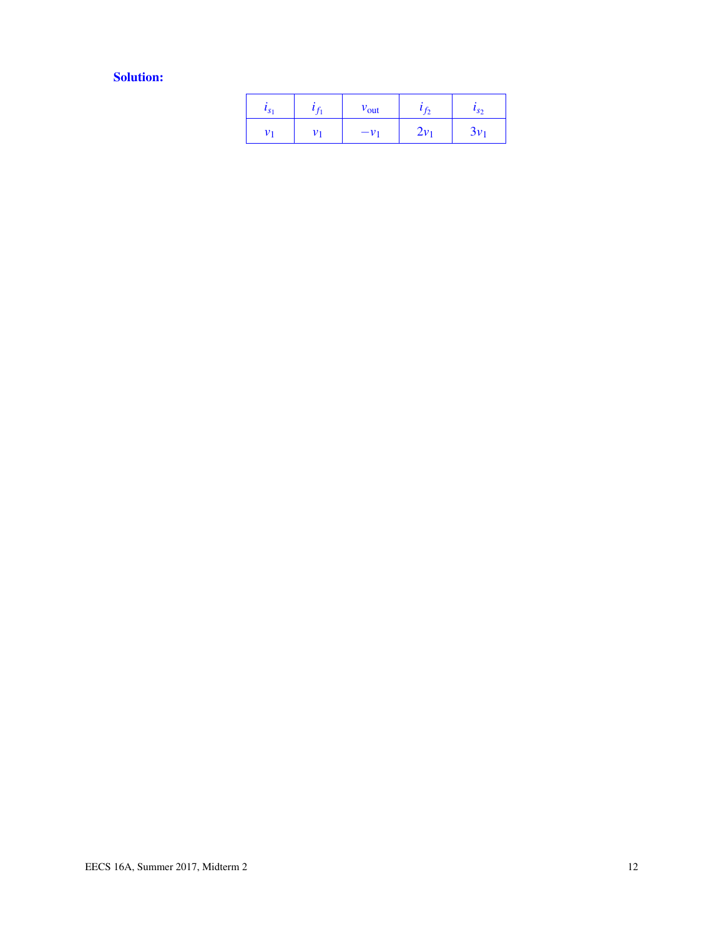## Solution:

| $S^*$ | $v_{\text{out}}$ | 'S2 |
|-------|------------------|-----|
|       | v <sub>1</sub>   |     |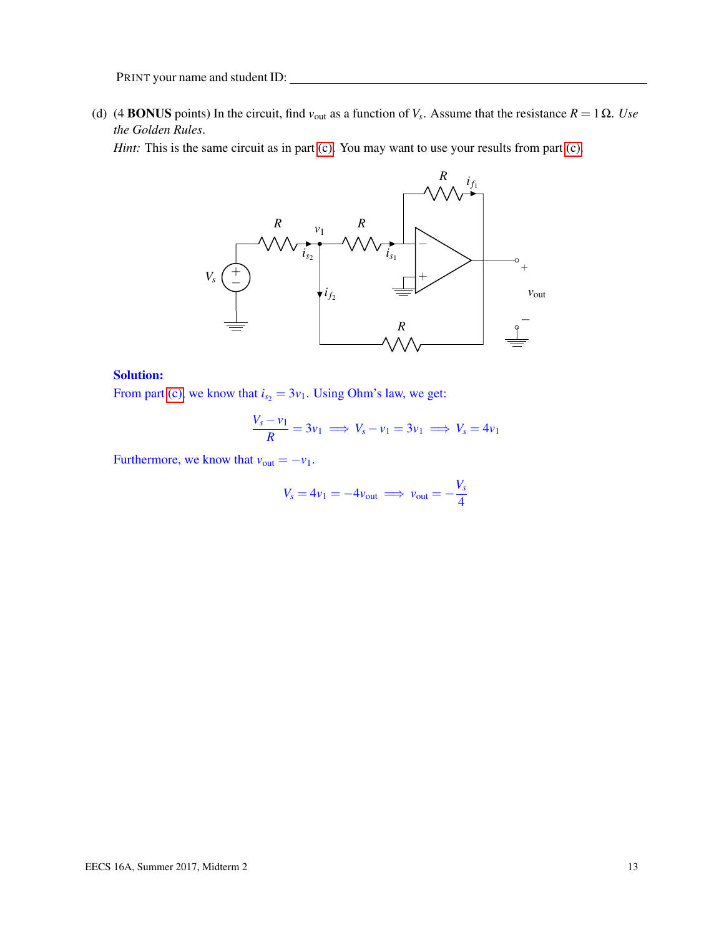(d) (4 **BONUS** points) In the circuit, find  $v_{\text{out}}$  as a function of  $V_s$ . Assume that the resistance  $R = 1 \Omega$ . *Use the Golden Rules*.

*Hint:* This is the same circuit as in part [\(c\).](#page-10-0) You may want to use your results from part (c).



#### Solution:

From part [\(c\),](#page-10-0) we know that  $i_{s_2} = 3v_1$ . Using Ohm's law, we get:

$$
\frac{V_s - v_1}{R} = 3v_1 \implies V_s - v_1 = 3v_1 \implies V_s = 4v_1
$$

Furthermore, we know that  $v_{\text{out}} = -v_1$ .

$$
V_s = 4v_1 = -4v_{\text{out}} \implies v_{\text{out}} = -\frac{V_s}{4}
$$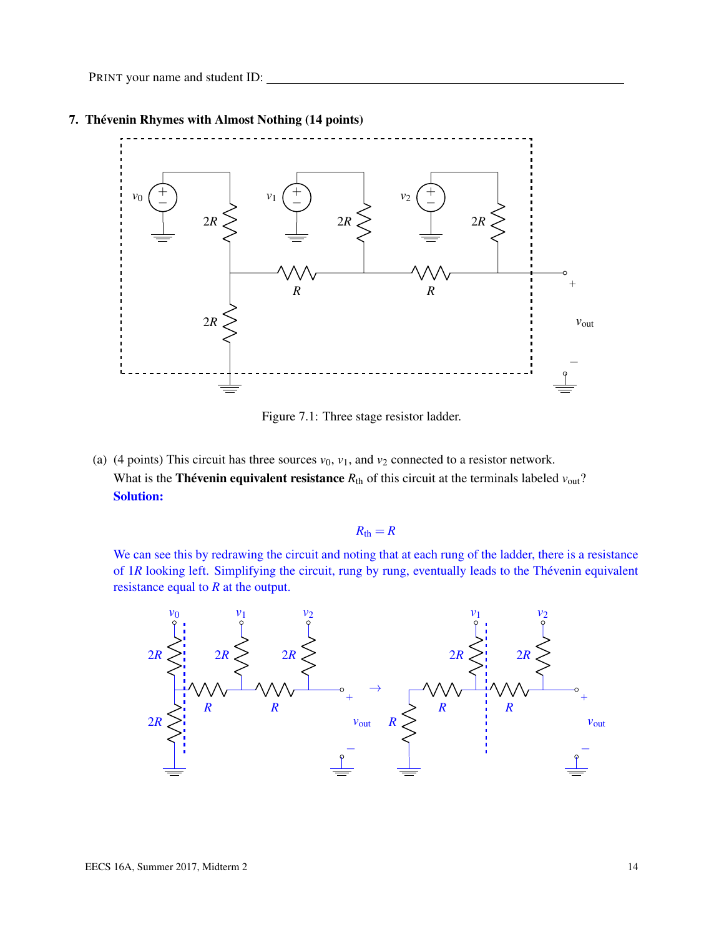

#### 7. Thévenin Rhymes with Almost Nothing (14 points)

Figure 7.1: Three stage resistor ladder.

<span id="page-13-0"></span>(a) (4 points) This circuit has three sources  $v_0$ ,  $v_1$ , and  $v_2$  connected to a resistor network. What is the **Thévenin equivalent resistance**  $R_{\text{th}}$  of this circuit at the terminals labeled  $v_{\text{out}}$ ? Solution:

$$
R_{\rm th}=R
$$

We can see this by redrawing the circuit and noting that at each rung of the ladder, there is a resistance of 1*R* looking left. Simplifying the circuit, rung by rung, eventually leads to the Thévenin equivalent resistance equal to *R* at the output.

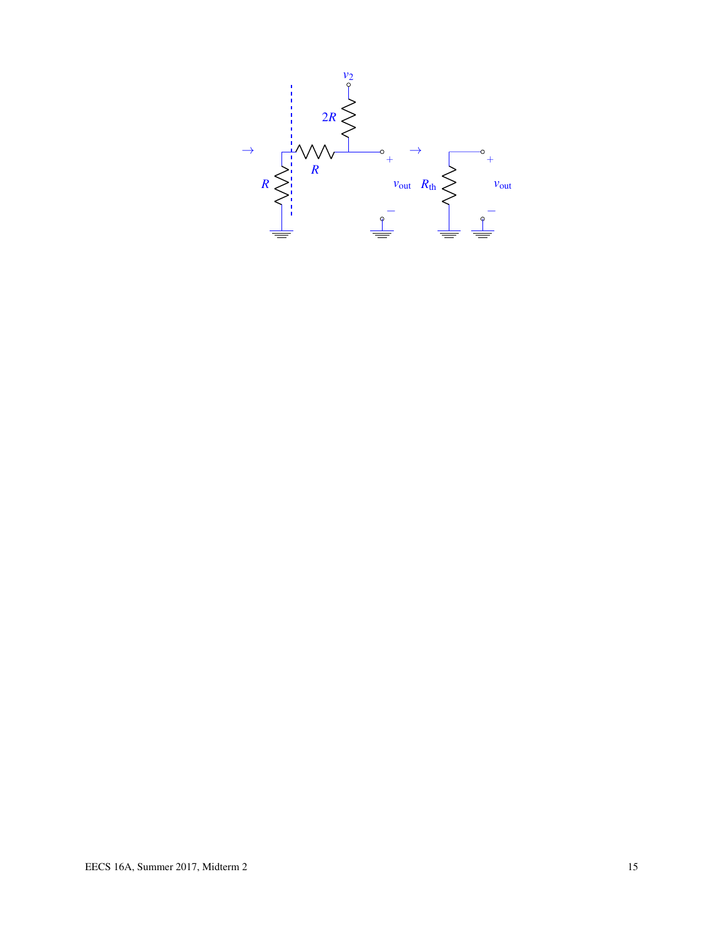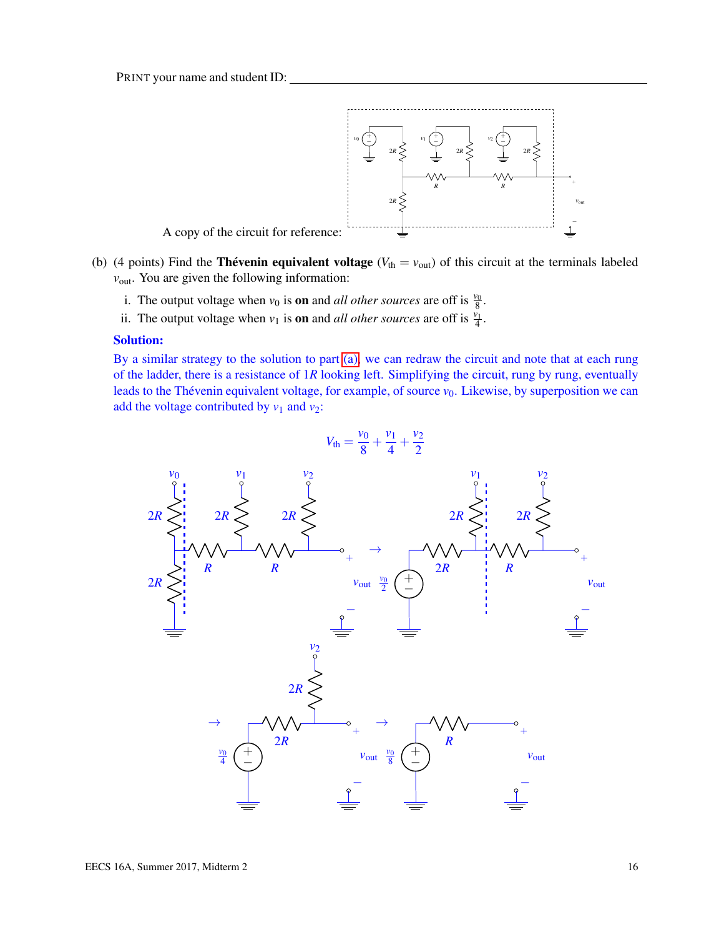

- <span id="page-15-0"></span>(b) (4 points) Find the **Thévenin equivalent voltage** ( $V_{th} = v_{out}$ ) of this circuit at the terminals labeled  $v_{\text{out}}$ . You are given the following information:
	- i. The output voltage when  $v_0$  is **on** and *all other sources* are off is  $\frac{v_0}{8}$ .
	- ii. The output voltage when  $v_1$  is **on** and *all other sources* are off is  $\frac{v_1}{4}$ .

#### Solution:

By a similar strategy to the solution to part [\(a\),](#page-13-0) we can redraw the circuit and note that at each rung of the ladder, there is a resistance of 1*R* looking left. Simplifying the circuit, rung by rung, eventually leads to the Thévenin equivalent voltage, for example, of source  $v_0$ . Likewise, by superposition we can add the voltage contributed by  $v_1$  and  $v_2$ :

$$
V_{th} = \frac{v_0}{8} + \frac{v_1}{4} + \frac{v_2}{2}
$$

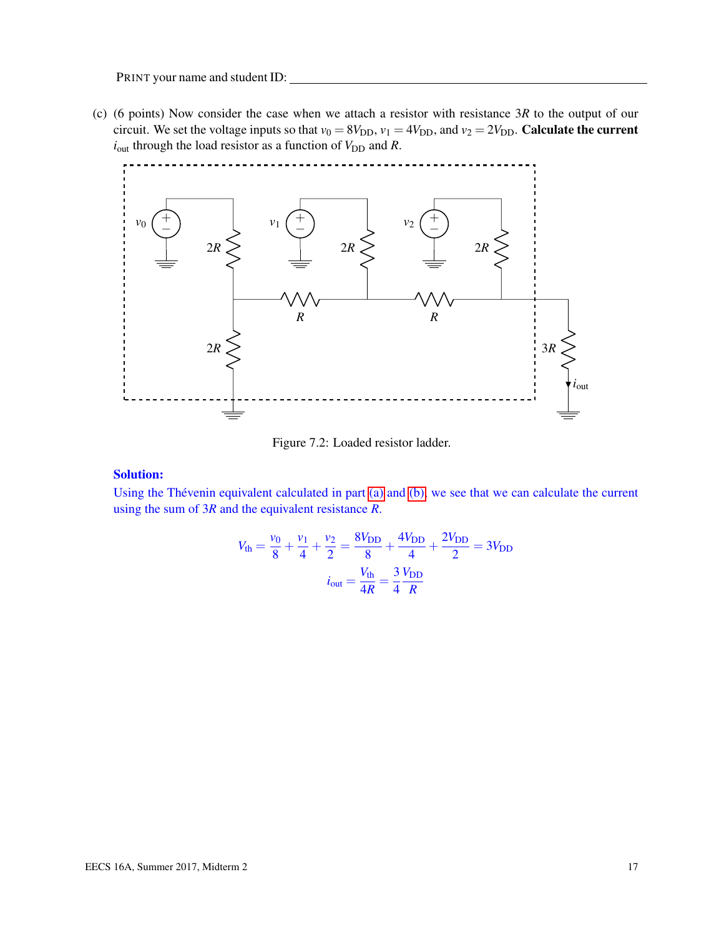(c) (6 points) Now consider the case when we attach a resistor with resistance 3*R* to the output of our circuit. We set the voltage inputs so that  $v_0 = 8V_{DD}$ ,  $v_1 = 4V_{DD}$ , and  $v_2 = 2V_{DD}$ . **Calculate the current**  $i_{\text{out}}$  through the load resistor as a function of  $V_{\text{DD}}$  and  $R$ .



Figure 7.2: Loaded resistor ladder.

## Solution:

Using the Thévenin equivalent calculated in part [\(a\)](#page-13-0) and [\(b\),](#page-15-0) we see that we can calculate the current using the sum of 3*R* and the equivalent resistance *R*.

$$
V_{\text{th}} = \frac{v_0}{8} + \frac{v_1}{4} + \frac{v_2}{2} = \frac{8V_{\text{DD}}}{8} + \frac{4V_{\text{DD}}}{4} + \frac{2V_{\text{DD}}}{2} = 3V_{\text{DD}}
$$

$$
i_{\text{out}} = \frac{V_{\text{th}}}{4R} = \frac{3}{4} \frac{V_{\text{DD}}}{R}
$$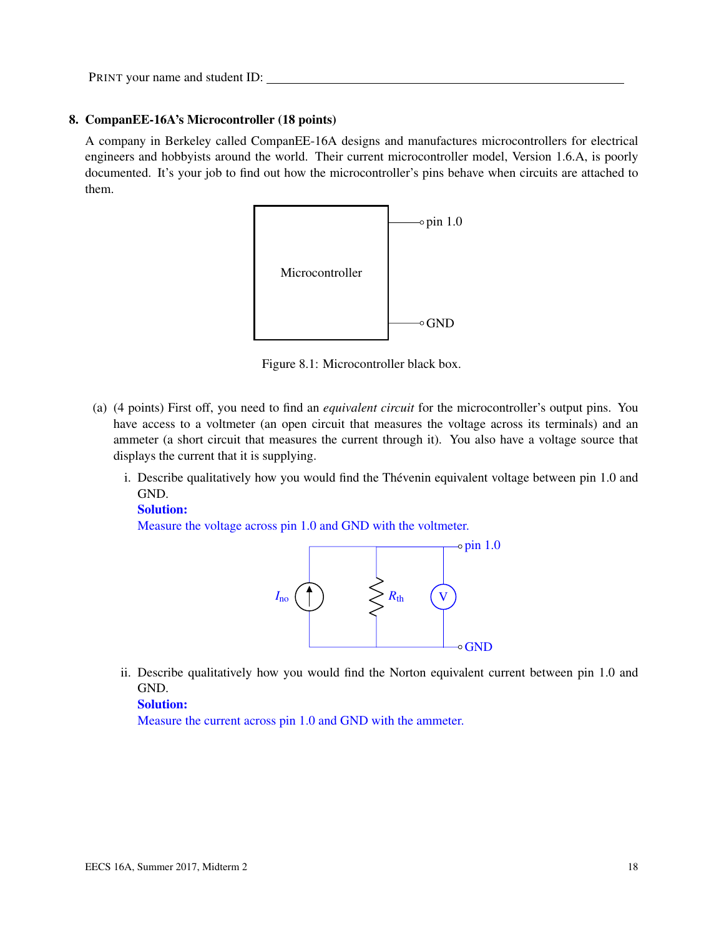#### 8. CompanEE-16A's Microcontroller (18 points)

A company in Berkeley called CompanEE-16A designs and manufactures microcontrollers for electrical engineers and hobbyists around the world. Their current microcontroller model, Version 1.6.A, is poorly documented. It's your job to find out how the microcontroller's pins behave when circuits are attached to them.



Figure 8.1: Microcontroller black box.

- <span id="page-17-0"></span>(a) (4 points) First off, you need to find an *equivalent circuit* for the microcontroller's output pins. You have access to a voltmeter (an open circuit that measures the voltage across its terminals) and an ammeter (a short circuit that measures the current through it). You also have a voltage source that displays the current that it is supplying.
	- i. Describe qualitatively how you would find the Thévenin equivalent voltage between pin 1.0 and GND.

#### Solution:

Measure the voltage across pin 1.0 and GND with the voltmeter.



ii. Describe qualitatively how you would find the Norton equivalent current between pin 1.0 and GND.

## Solution:

Measure the current across pin 1.0 and GND with the ammeter.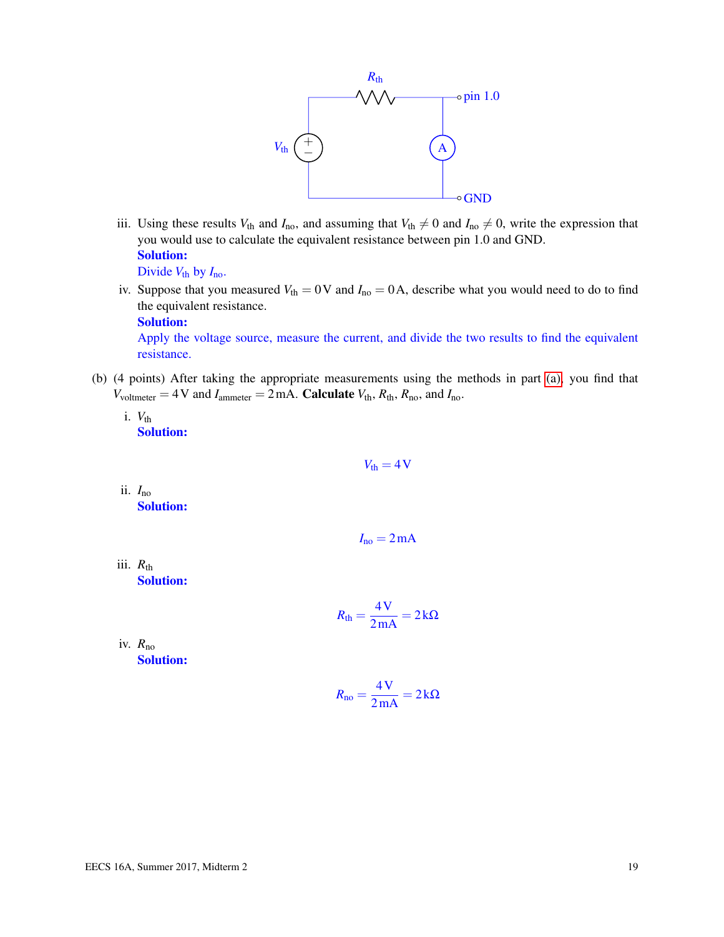

iii. Using these results  $V_{th}$  and  $I_{no}$ , and assuming that  $V_{th} \neq 0$  and  $I_{no} \neq 0$ , write the expression that you would use to calculate the equivalent resistance between pin 1.0 and GND. Solution:

Divide  $V_{\text{th}}$  by  $I_{\text{no}}$ .

iv. Suppose that you measured  $V_{th} = 0$  V and  $I_{no} = 0$  A, describe what you would need to do to find the equivalent resistance.

#### Solution:

Apply the voltage source, measure the current, and divide the two results to find the equivalent resistance.

- (b) (4 points) After taking the appropriate measurements using the methods in part [\(a\),](#page-17-0) you find that  $V_{\text{voltmeter}} = 4 \text{V}$  and  $I_{\text{ammeter}} = 2 \text{mA}$ . **Calculate**  $V_{\text{th}}$ ,  $R_{\text{th}}$ ,  $R_{\text{no}}$ , and  $I_{\text{no}}$ .
	- i. *V*th Solution:

 $V_{\text{th}} = 4 \text{V}$ 

ii. *I*no

Solution:

 $I_{\text{no}} = 2 \text{ mA}$ 

iii.  $R_{\text{th}}$ Solution:

> $R_{\rm th} = \frac{4 \rm V}{2 \, m}$  $\frac{1}{2mA} = 2k\Omega$

iv. *R*no Solution:

$$
R_{\rm no} = \frac{4\,\mathrm{V}}{2\,\mathrm{mA}} = 2\,\mathrm{k}\Omega
$$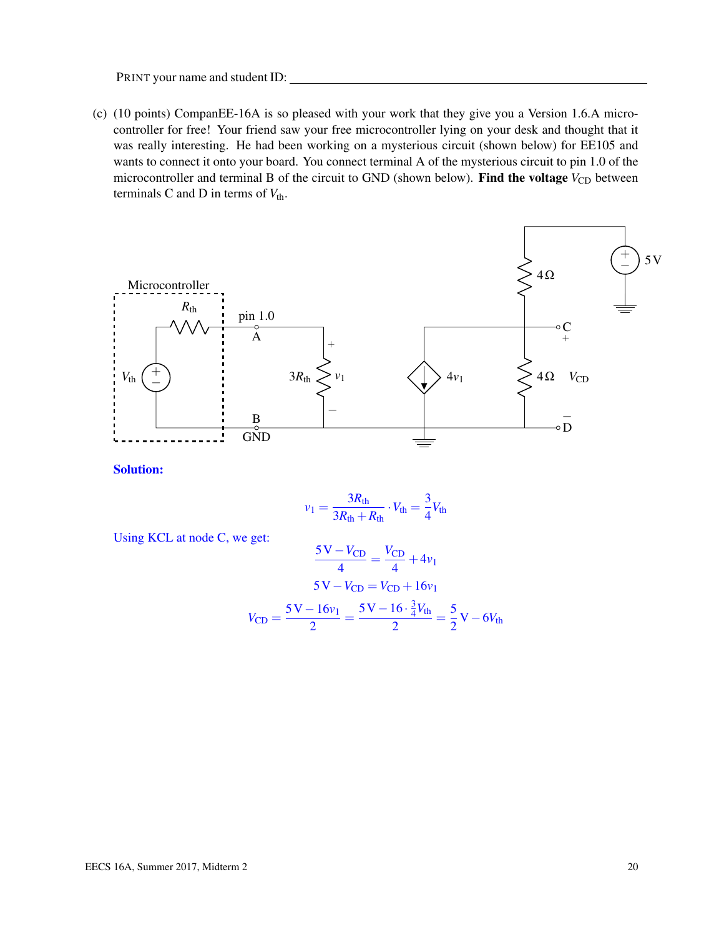(c) (10 points) CompanEE-16A is so pleased with your work that they give you a Version 1.6.A microcontroller for free! Your friend saw your free microcontroller lying on your desk and thought that it was really interesting. He had been working on a mysterious circuit (shown below) for EE105 and wants to connect it onto your board. You connect terminal A of the mysterious circuit to pin 1.0 of the microcontroller and terminal B of the circuit to GND (shown below). Find the voltage  $V_{CD}$  between terminals C and D in terms of  $V_{\text{th}}$ .



Solution:

$$
v_1 = \frac{3R_{th}}{3R_{th} + R_{th}} \cdot V_{th} = \frac{3}{4}V_{th}
$$

Using KCL at node C, we get:

$$
\frac{5\,\text{V} - V_{\text{CD}}}{4} = \frac{V_{\text{CD}}}{4} + 4v_1
$$

$$
5\,\text{V} - V_{\text{CD}} = V_{\text{CD}} + 16v_1
$$

$$
V_{\text{CD}} = \frac{5\,\text{V} - 16v_1}{2} = \frac{5\,\text{V} - 16 \cdot \frac{3}{4}V_{\text{th}}}{2} = \frac{5}{2}\,\text{V} - 6V_{\text{th}}
$$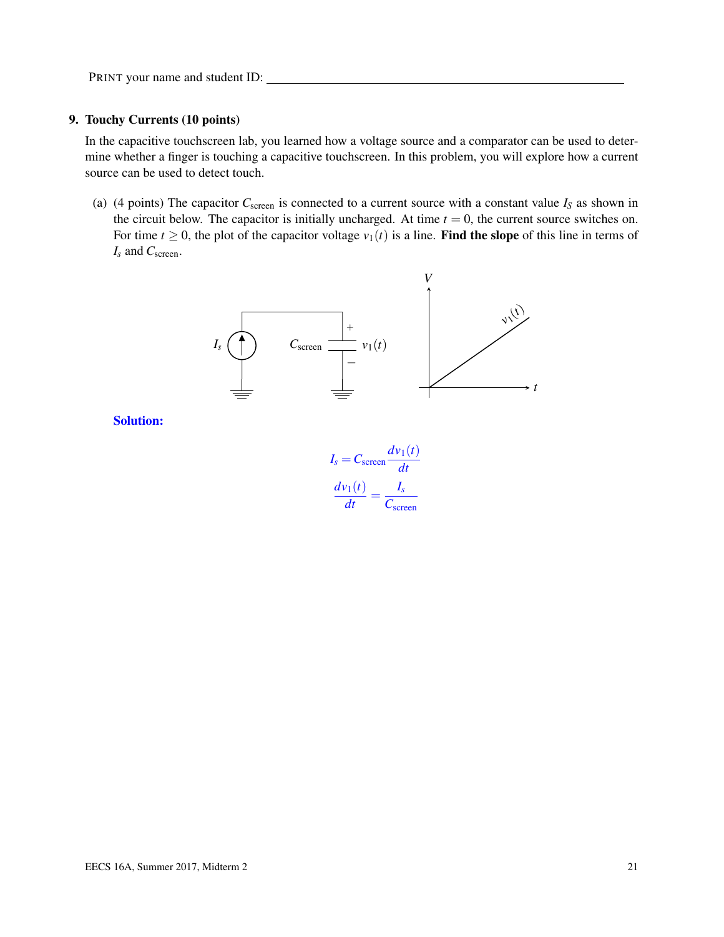## 9. Touchy Currents (10 points)

In the capacitive touchscreen lab, you learned how a voltage source and a comparator can be used to determine whether a finger is touching a capacitive touchscreen. In this problem, you will explore how a current source can be used to detect touch.

(a) (4 points) The capacitor  $C_{\text{screen}}$  is connected to a current source with a constant value  $I_S$  as shown in the circuit below. The capacitor is initially uncharged. At time  $t = 0$ , the current source switches on. For time  $t \geq 0$ , the plot of the capacitor voltage  $v_1(t)$  is a line. Find the slope of this line in terms of *I<sup>s</sup>* and *C*screen.



Solution:

 $I_s = C_{\text{screen}} \frac{dv_1(t)}{dt}$ *dt*  $dv_1(t)$  $\frac{V_1(t)}{dt} = \frac{I_s}{C_{\rm{scr}}}$ *C*screen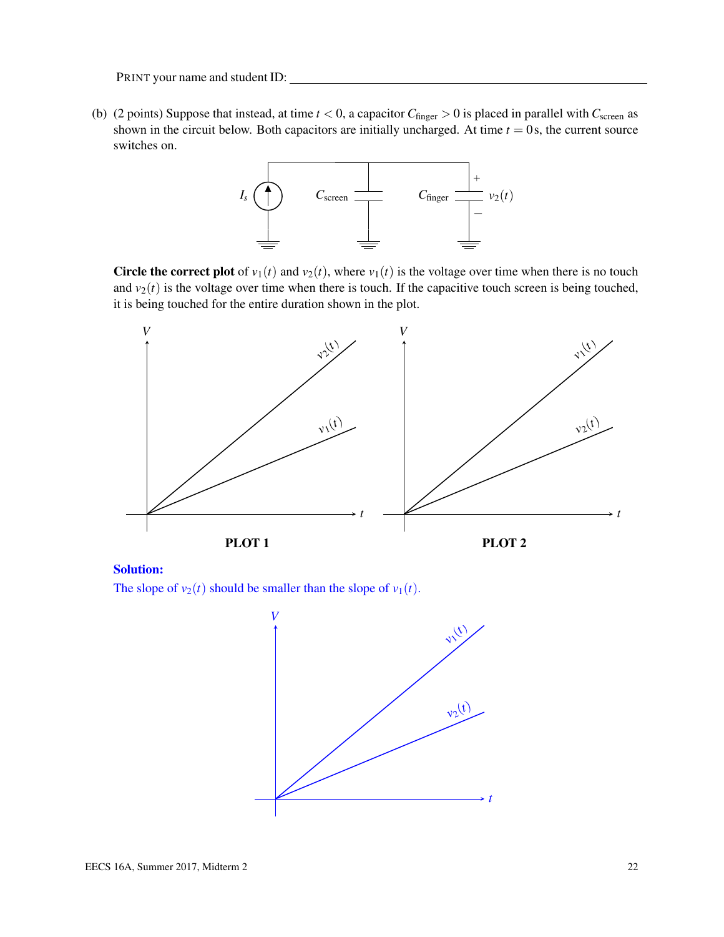<span id="page-21-0"></span>(b) (2 points) Suppose that instead, at time  $t < 0$ , a capacitor  $C_{\text{finger}} > 0$  is placed in parallel with  $C_{\text{screen}}$  as shown in the circuit below. Both capacitors are initially uncharged. At time  $t = 0$ s, the current source switches on.



Circle the correct plot of  $v_1(t)$  and  $v_2(t)$ , where  $v_1(t)$  is the voltage over time when there is no touch and  $v_2(t)$  is the voltage over time when there is touch. If the capacitive touch screen is being touched, it is being touched for the entire duration shown in the plot.



#### Solution:

The slope of  $v_2(t)$  should be smaller than the slope of  $v_1(t)$ .

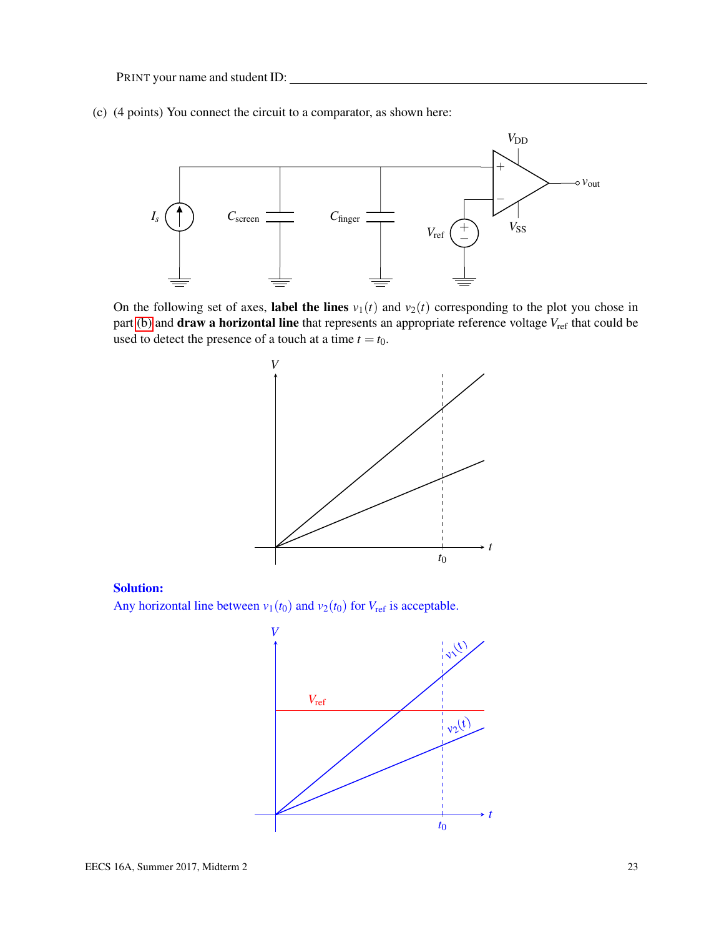(c) (4 points) You connect the circuit to a comparator, as shown here:



On the following set of axes, label the lines  $v_1(t)$  and  $v_2(t)$  corresponding to the plot you chose in part [\(b\)](#page-21-0) and **draw a horizontal line** that represents an appropriate reference voltage  $V_{\text{ref}}$  that could be used to detect the presence of a touch at a time  $t = t_0$ .



## Solution:



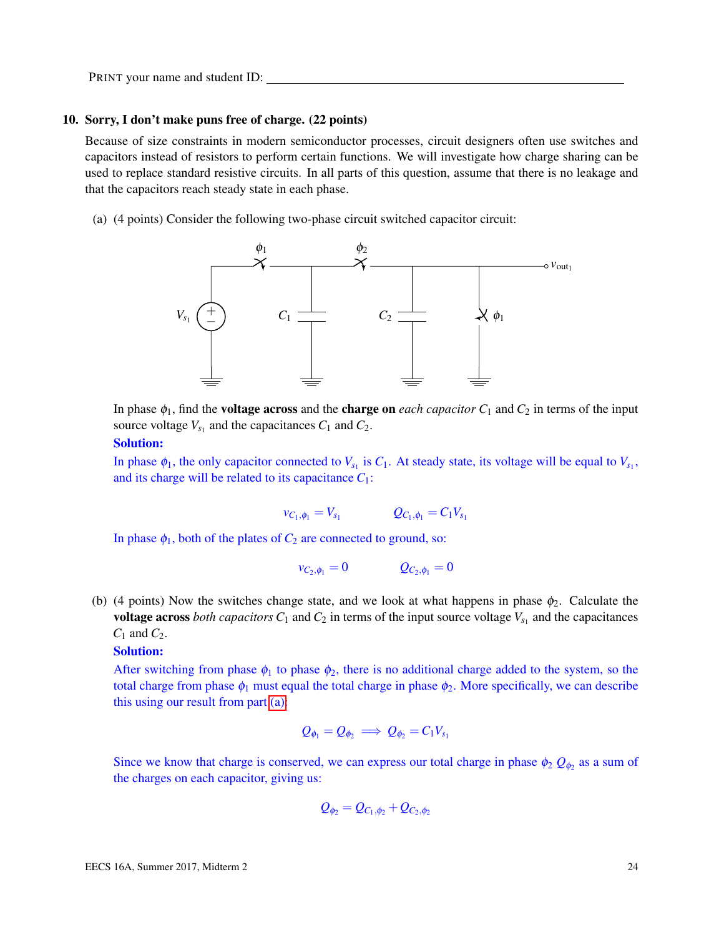#### 10. Sorry, I don't make puns free of charge. (22 points)

Because of size constraints in modern semiconductor processes, circuit designers often use switches and capacitors instead of resistors to perform certain functions. We will investigate how charge sharing can be used to replace standard resistive circuits. In all parts of this question, assume that there is no leakage and that the capacitors reach steady state in each phase.

<span id="page-23-0"></span>(a) (4 points) Consider the following two-phase circuit switched capacitor circuit:



In phase  $\phi_1$ , find the **voltage across** and the **charge on** each capacitor  $C_1$  and  $C_2$  in terms of the input source voltage  $V_{s_1}$  and the capacitances  $C_1$  and  $C_2$ .

## Solution:

In phase  $\phi_1$ , the only capacitor connected to  $V_{s_1}$  is  $C_1$ . At steady state, its voltage will be equal to  $V_{s_1}$ , and its charge will be related to its capacitance  $C_1$ :

$$
v_{C_1,\phi_1} = V_{s_1} \hspace{1cm} Q_{C_1,\phi_1} = C_1 V_{s_1}
$$

In phase  $\phi_1$ , both of the plates of  $C_2$  are connected to ground, so:

$$
v_{C_2,\phi_1} = 0 \t Q_{C_2,\phi_1} = 0
$$

<span id="page-23-1"></span>(b) (4 points) Now the switches change state, and we look at what happens in phase  $\phi_2$ . Calculate the voltage across *both capacitors*  $C_1$  and  $C_2$  in terms of the input source voltage  $V_{s_1}$  and the capacitances  $C_1$  and  $C_2$ .

## Solution:

After switching from phase  $\phi_1$  to phase  $\phi_2$ , there is no additional charge added to the system, so the total charge from phase  $\phi_1$  must equal the total charge in phase  $\phi_2$ . More specifically, we can describe this using our result from part [\(a\):](#page-23-0)

$$
Q_{\phi_1} = Q_{\phi_2} \implies Q_{\phi_2} = C_1 V_{s_1}
$$

Since we know that charge is conserved, we can express our total charge in phase  $\phi_2$   $Q_{\phi_2}$  as a sum of the charges on each capacitor, giving us:

$$
Q_{\phi_2}=Q_{C_1,\phi_2}+Q_{C_2,\phi_2}
$$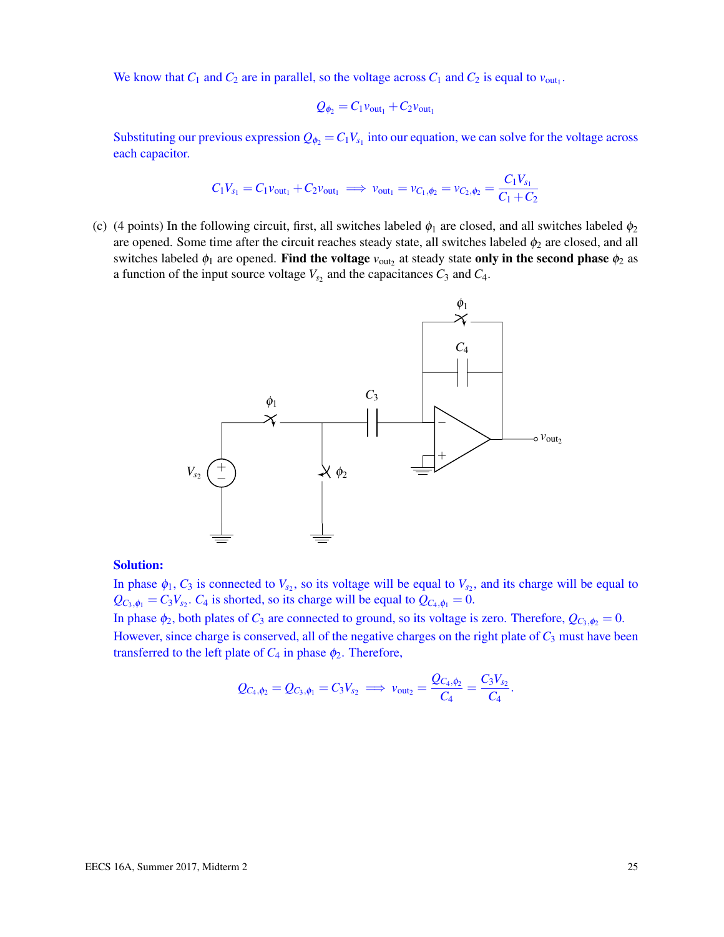We know that  $C_1$  and  $C_2$  are in parallel, so the voltage across  $C_1$  and  $C_2$  is equal to  $v_{\text{out}_1}$ .

$$
Q_{\phi_2}=C_1v_{\text{out}_1}+C_2v_{\text{out}_1}
$$

Substituting our previous expression  $Q_{\phi_2} = C_1 V_{s_1}$  into our equation, we can solve for the voltage across each capacitor.

$$
C_1V_{s_1} = C_1v_{\text{out}_1} + C_2v_{\text{out}_1} \implies v_{\text{out}_1} = v_{C_1,\phi_2} = v_{C_2,\phi_2} = \frac{C_1V_{s_1}}{C_1+C_2}
$$

<span id="page-24-0"></span>(c) (4 points) In the following circuit, first, all switches labeled  $\phi_1$  are closed, and all switches labeled  $\phi_2$ are opened. Some time after the circuit reaches steady state, all switches labeled  $\phi_2$  are closed, and all switches labeled  $\phi_1$  are opened. Find the voltage  $v_{\text{out}_2}$  at steady state only in the second phase  $\phi_2$  as a function of the input source voltage  $V_{s_2}$  and the capacitances  $C_3$  and  $C_4$ .



## Solution:

In phase  $\phi_1$ ,  $C_3$  is connected to  $V_{s_2}$ , so its voltage will be equal to  $V_{s_2}$ , and its charge will be equal to  $Q_{C_3,\phi_1} = C_3 V_{s_2}$ .  $C_4$  is shorted, so its charge will be equal to  $Q_{C_4,\phi_1} = 0$ .

In phase  $\phi_2$ , both plates of *C*<sub>3</sub> are connected to ground, so its voltage is zero. Therefore,  $Q_{C_3, \phi_2} = 0$ . However, since charge is conserved, all of the negative charges on the right plate of  $C_3$  must have been transferred to the left plate of  $C_4$  in phase  $\phi_2$ . Therefore,

$$
Q_{C_4,\phi_2} = Q_{C_3,\phi_1} = C_3 V_{s_2} \implies v_{\text{out}_2} = \frac{Q_{C_4,\phi_2}}{C_4} = \frac{C_3 V_{s_2}}{C_4}.
$$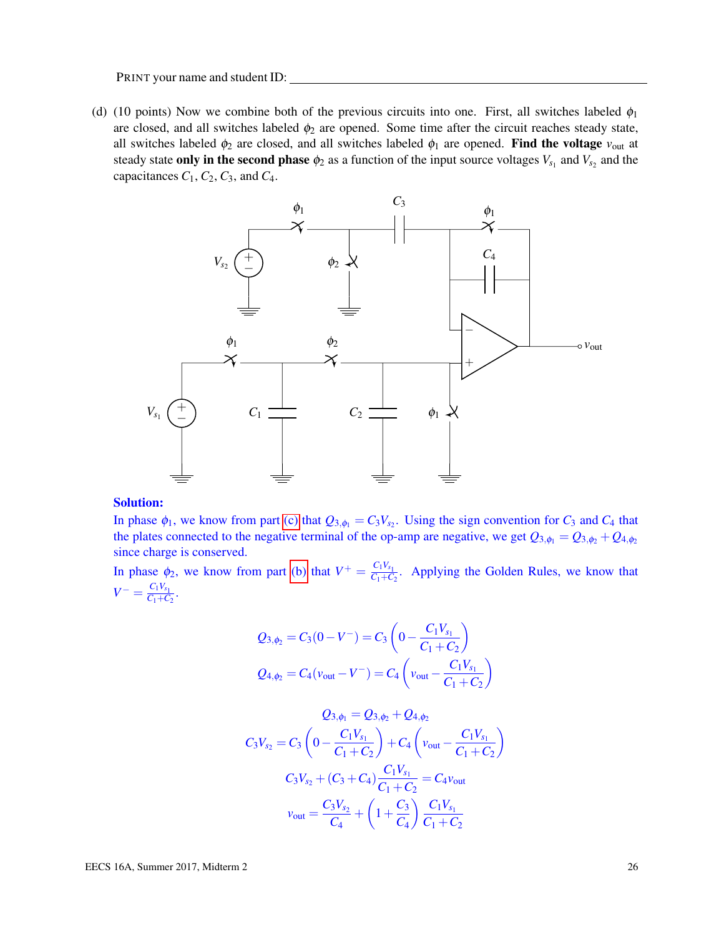(d) (10 points) Now we combine both of the previous circuits into one. First, all switches labeled  $\phi_1$ are closed, and all switches labeled  $\phi_2$  are opened. Some time after the circuit reaches steady state, all switches labeled  $\phi_2$  are closed, and all switches labeled  $\phi_1$  are opened. Find the voltage  $v_{\text{out}}$  at steady state **only in the second phase**  $\phi_2$  as a function of the input source voltages  $V_{s_1}$  and  $V_{s_2}$  and the capacitances  $C_1$ ,  $C_2$ ,  $C_3$ , and  $C_4$ .



#### Solution:

In phase  $\phi_1$ , we know from part [\(c\)](#page-24-0) that  $Q_{3,\phi_1} = C_3 V_{s_2}$ . Using the sign convention for  $C_3$  and  $C_4$  that the plates connected to the negative terminal of the op-amp are negative, we get  $Q_{3,\phi_1} = Q_{3,\phi_2} + Q_{4,\phi_2}$ since charge is conserved.

In phase  $\phi_2$ , we know from part [\(b\)](#page-23-1) that  $V^+ = \frac{C_1 V_{s_1}}{C_1 + C_2}$  $\frac{C_1 \cdot s_1}{C_1 + C_2}$ . Applying the Golden Rules, we know that  $V^{-} = \frac{C_1 V_{s_1}}{C_1 + C_2}$  $\frac{C_1 V s_1}{C_1 + C_2}$ .

$$
Q_{3,\phi_2} = C_3(0 - V^{-}) = C_3 \left(0 - \frac{C_1 V_{s_1}}{C_1 + C_2}\right)
$$
  

$$
Q_{4,\phi_2} = C_4(v_{\text{out}} - V^{-}) = C_4 \left(v_{\text{out}} - \frac{C_1 V_{s_1}}{C_1 + C_2}\right)
$$

$$
Q_{3,\phi_1} = Q_{3,\phi_2} + Q_{4,\phi_2}
$$
  
\n
$$
C_3V_{s_2} = C_3 \left(0 - \frac{C_1V_{s_1}}{C_1 + C_2}\right) + C_4 \left(v_{out} - \frac{C_1V_{s_1}}{C_1 + C_2}\right)
$$
  
\n
$$
C_3V_{s_2} + (C_3 + C_4) \frac{C_1V_{s_1}}{C_1 + C_2} = C_4v_{out}
$$
  
\n
$$
v_{out} = \frac{C_3V_{s_2}}{C_4} + \left(1 + \frac{C_3}{C_4}\right) \frac{C_1V_{s_1}}{C_1 + C_2}
$$